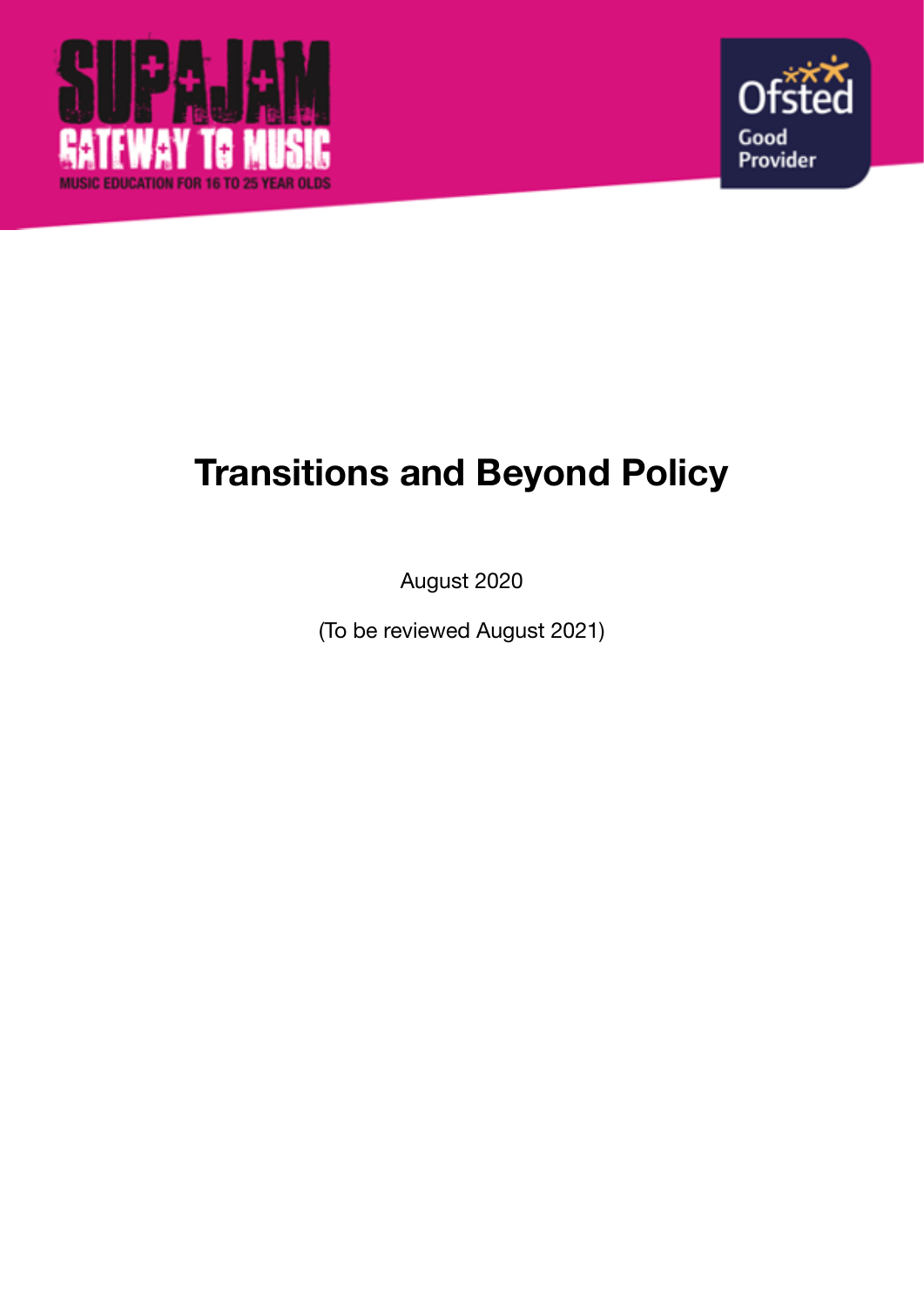



# **Transitions and Beyond Policy**

August 2020

(To be reviewed August 2021)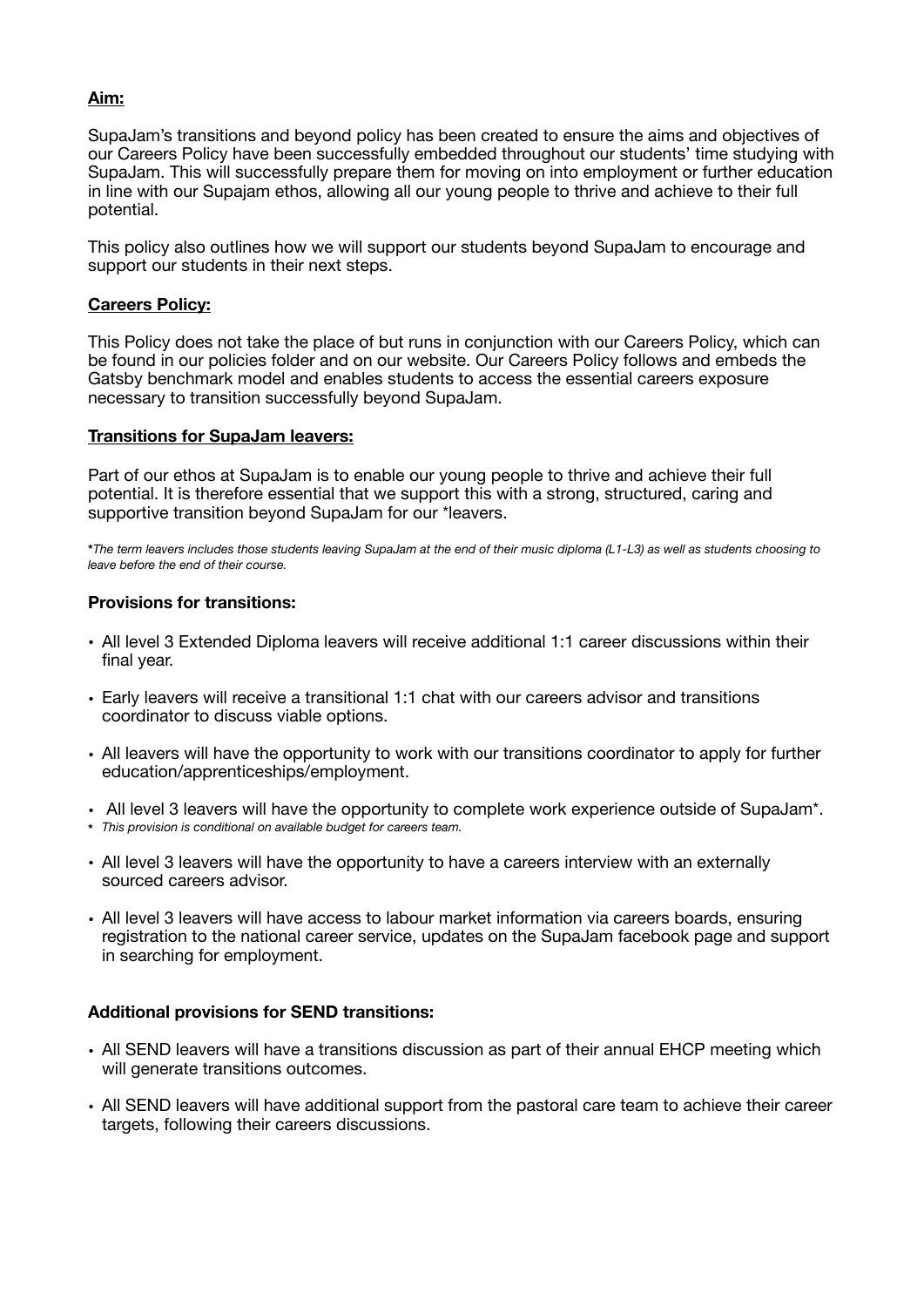## **Aim:**

SupaJam's transitions and beyond policy has been created to ensure the aims and objectives of our Careers Policy have been successfully embedded throughout our students' time studying with SupaJam. This will successfully prepare them for moving on into employment or further education in line with our Supajam ethos, allowing all our young people to thrive and achieve to their full potential.

This policy also outlines how we will support our students beyond SupaJam to encourage and support our students in their next steps.

#### **Careers Policy:**

This Policy does not take the place of but runs in conjunction with our Careers Policy, which can be found in our policies folder and on our website. Our Careers Policy follows and embeds the Gatsby benchmark model and enables students to access the essential careers exposure necessary to transition successfully beyond SupaJam.

#### **Transitions for SupaJam leavers:**

Part of our ethos at SupaJam is to enable our young people to thrive and achieve their full potential. It is therefore essential that we support this with a strong, structured, caring and supportive transition beyond SupaJam for our \*leavers.

**\****The term leavers includes those students leaving SupaJam at the end of their music diploma (L1-L3) as well as students choosing to leave before the end of their course.*

## **Provisions for transitions:**

- All level 3 Extended Diploma leavers will receive additional 1:1 career discussions within their final year.
- Early leavers will receive a transitional 1:1 chat with our careers advisor and transitions coordinator to discuss viable options.
- All leavers will have the opportunity to work with our transitions coordinator to apply for further education/apprenticeships/employment.
- All level 3 leavers will have the opportunity to complete work experience outside of SupaJam\*.
- **\*** *This provision is conditional on available budget for careers team.*
- All level 3 leavers will have the opportunity to have a careers interview with an externally sourced careers advisor.
- All level 3 leavers will have access to labour market information via careers boards, ensuring registration to the national career service, updates on the SupaJam facebook page and support in searching for employment.

## **Additional provisions for SEND transitions:**

- All SEND leavers will have a transitions discussion as part of their annual EHCP meeting which will generate transitions outcomes.
- All SEND leavers will have additional support from the pastoral care team to achieve their career targets, following their careers discussions.